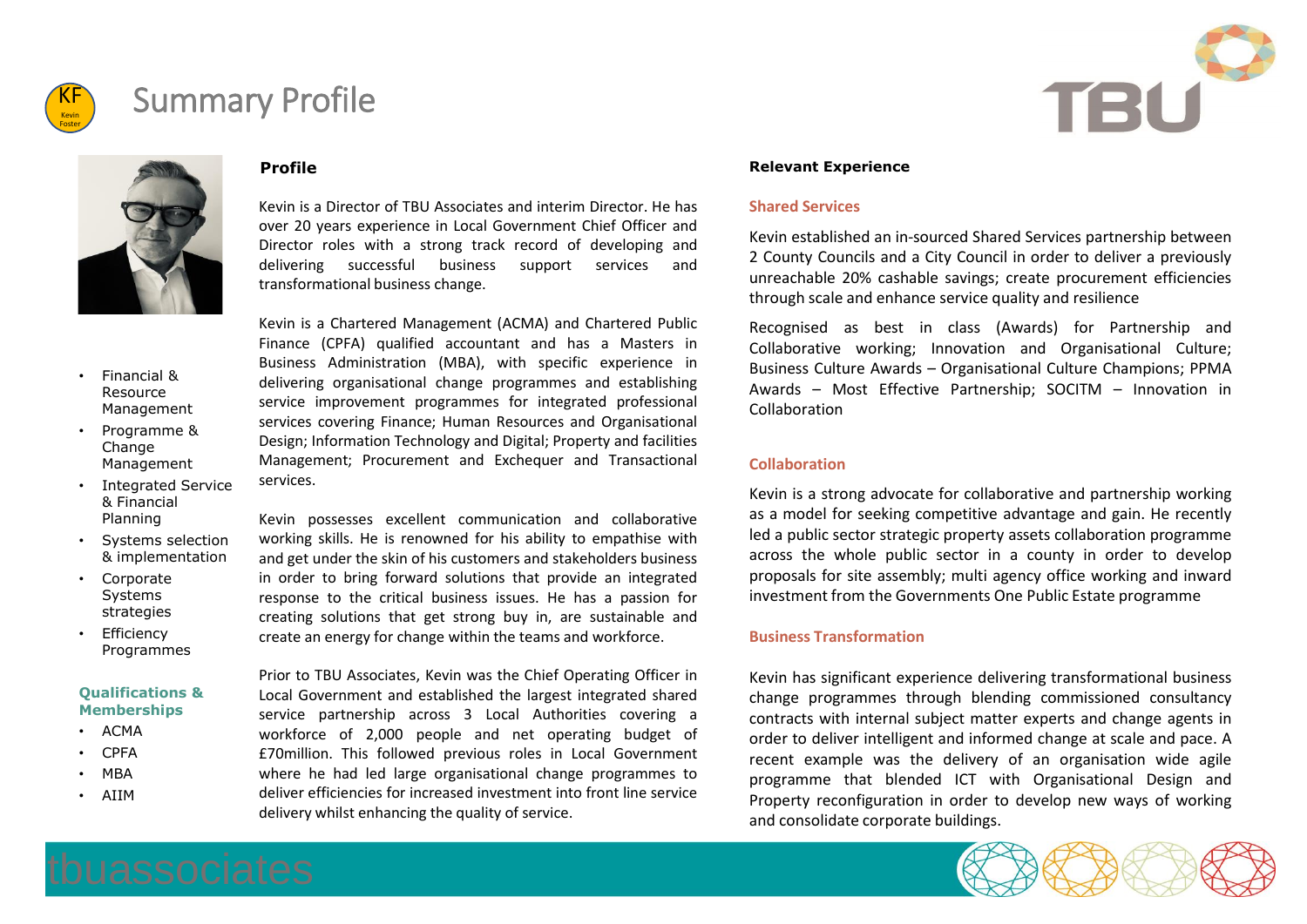

## Summary Profile



#### **Profile**

Kevin is a Director of TBU Associates and interim Director. He has over 20 years experience in Local Government Chief Officer and Director roles with a strong track record of developing and delivering successful business support services and transformational business change.

- Financial & Resource Management
- Programme & Change Management
- Integrated Service & Financial Planning
- Systems selection & implementation
- Corporate Systems strategies
- Efficiency Programmes

#### **Qualifications & Memberships**

- ACMA
- CPFA
- MBA
- AIIM

Kevin is a Chartered Management (ACMA) and Chartered Public Finance (CPFA) qualified accountant and has a Masters in Business Administration (MBA), with specific experience in delivering organisational change programmes and establishing service improvement programmes for integrated professional services covering Finance; Human Resources and Organisational Design; Information Technology and Digital; Property and facilities Management; Procurement and Exchequer and Transactional services.

Kevin possesses excellent communication and collaborative working skills. He is renowned for his ability to empathise with and get under the skin of his customers and stakeholders business in order to bring forward solutions that provide an integrated response to the critical business issues. He has a passion for creating solutions that get strong buy in, are sustainable and create an energy for change within the teams and workforce.

Prior to TBU Associates, Kevin was the Chief Operating Officer in Local Government and established the largest integrated shared service partnership across 3 Local Authorities covering a workforce of 2,000 people and net operating budget of £70million. This followed previous roles in Local Government where he had led large organisational change programmes to deliver efficiencies for increased investment into front line service delivery whilst enhancing the quality of service.

#### **Relevant Experience**

#### **Shared Services**

Kevin established an in-sourced Shared Services partnership between 2 County Councils and a City Council in order to deliver a previously unreachable 20% cashable savings; create procurement efficiencies through scale and enhance service quality and resilience

Recognised as best in class (Awards) for Partnership and Collaborative working; Innovation and Organisational Culture; Business Culture Awards – Organisational Culture Champions; PPMA Awards – Most Effective Partnership; SOCITM – Innovation in Collaboration

#### **Collaboration**

Kevin is a strong advocate for collaborative and partnership working as a model for seeking competitive advantage and gain. He recently led a public sector strategic property assets collaboration programme across the whole public sector in a county in order to develop proposals for site assembly; multi agency office working and inward investment from the Governments One Public Estate programme

### **Business Transformation**

Kevin has significant experience delivering transformational business change programmes through blending commissioned consultancy contracts with internal subject matter experts and change agents in order to deliver intelligent and informed change at scale and pace. A recent example was the delivery of an organisation wide agile programme that blended ICT with Organisational Design and Property reconfiguration in order to develop new ways of working and consolidate corporate buildings.